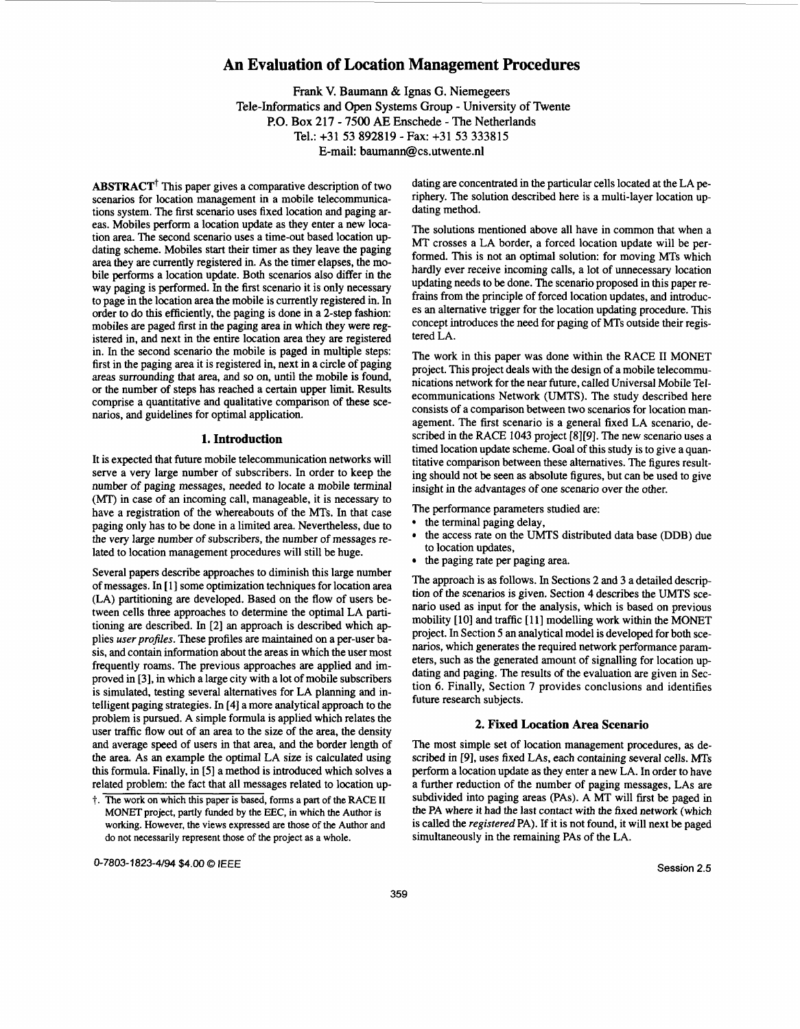## **An Evaluation of Location Management Procedures**

**Frank** V. Baumann & Ignas G. Niemegeers Tele-Informatics and Open Systems Group - University of Twente P.O. Box 217 - 7500 AE Enschede - The Netherlands Tel.: +31 53 892819 -Fax: +31 53 333815 E-mail: baumann@cs.utwente.nl

 $ABSTRACT<sup>†</sup>$  This paper gives a comparative description of two scenarios for location management in a mobile telecommunications system. The first scenario uses fixed location and paging areas. Mobiles perform a location update as they enter a new location area. The second scenario uses a time-out based location updating scheme. Mobiles start their timer as they leave the paging area they are currently registered in. **As** the timer elapses, the mobile performs a location update. Both scenarios also differ in the way paging is performed. In the first scenario it is only necessary to page in the location area the mobile is currently registered in. In order to do this efficiently, the paging is done in a 2-step fashion: mobiles are paged first in the paging area in which they were registered in, and next in the entire location area they are registered in. In the second scenario the mobile is paged in multiple steps: first in the paging area it is registered in, next in a circle of paging areas surrounding that area, and so on, until the mobile is found, or the number of steps has reached a certain upper limit. Results comprise a quantitative and qualitative comparison of these scenarios, and guidelines for optimal application.

#### **1. Introduction**

It is expected that future mobile telecommunication networks will serve a very large number of subscribers. In order to keep the number of paging messages, needed to locate a mobile terminal (MT) in case of an incoming call, manageable, it is necessary to have a registration of the whereabouts of the MTs. In that case paging only has to be done in a limited area. Nevertheless, due to the very large number of subscribers, the number of messages related to location management procedures will still be huge.

Several papers describe approaches to diminish this large number of messages. In [1] some optimization techniques for location area **(LA)** partitioning are developed. Based on the flow of users between cells three approaches to determine the optimal **LA** partitioning are described. In [2] an approach is described which applies *user profiles*. These profiles are maintained on a per-user basis, and contain information about the areas in which the user most frequently roams. The previous approaches are applied and improved in **[3],** in which a large city with a lot of mobile subscribers is simulated, testing several altematives for **LA** planning and intelligent paging strategies. In **[4]** a more analytical approach to the problem is pursued. **A** simple formula is applied which relates the user traffic **flow** out of an area to the size of the area, the density and average speed of users in that area, and the border length of the area. **As** an example the optimal **LA** size is calculated using this formula. Finally, in *[5]* a method is introduced which solves a related problem: the fact that all messages related to location updating are concentrated in the particular cells located at the **LA** periphery. The solution described here is a multi-layer location updating method.

The solutions mentioned above all have in common that when a MT crosses a **LA** border, a forced location update will be performed. This is not an optimal solution: for moving **MTs** which hardly ever receive incoming calls, a lot of unnecessary location updating needs to be done. The scenario proposed in this paper refrains from the principle of forced location updates, and introduces an alternative trigger for the location updating procedure. This concept introduces the need for paging of **MTs** outside their registered **LA.** 

The work in this paper was done within the **RACE** I1 MONET project. This project deals with the design of a mobile telecommunications network for the near future, called Universal Mobile Telecommunications Network (UMTS). The study described here consists of a comparison between two scenarios for location management. The first scenario is a general fixed **LA** scenario, described in the **RACE** 1043 project **[8][9].** The new scenario uses a timed location update scheme. Goal of this study is to give a quantitative comparison between these alternatives. The figures resulting should not be seen **as** absolute figures, but can be used to give insight in the advantages of one scenario over the other.

The performance parameters studied are:

- the terminal paging delay,
- the access rate on the **UMTS** distributed data base (DDB) due to location updates,
- the paging rate per paging area.

The approach is **as** follows. In Sections 2 and 3 a detailed description of the scenarios is given. Section **4** describes the **UMTS** scenario used as input for the analysis, which is based on previous mobility [10] and traffic [11] modelling work within the MONET project. In Section *5* an analytical model is developed for both scenarios, which generates the required network performance parameters, such as the generated amount of signalling for location updating and paging. The results of the evaluation are given in Section 6. Finally, Section 7 provides conclusions and identifies future research subjects.

## **2. Fixed Location Area Scenario**

The most simple set of location management procedures, **as** described in **[9],** uses fixed **LAs,** each containing several cells. **MTs**  perform a location update as they enter a new **LA.** In order to have a further reduction of the number of paging messages, **LAs** are subdivided into paging areas **(PAS). A** MT will first be paged in the **PA** where it had the last contact with the fixed network (which is called the registered **PA).** If it is not found, it will next be paged simultaneously in the remaining **PAS** of the **LA.** 

t. The work on which this paper is based, forms a part of the RACE **I1 MONET** project, partly funded by the EEC, in which the Author is working. However, the views expressed are those of the Author **and**  do not necessarily represent those of the project as a whole.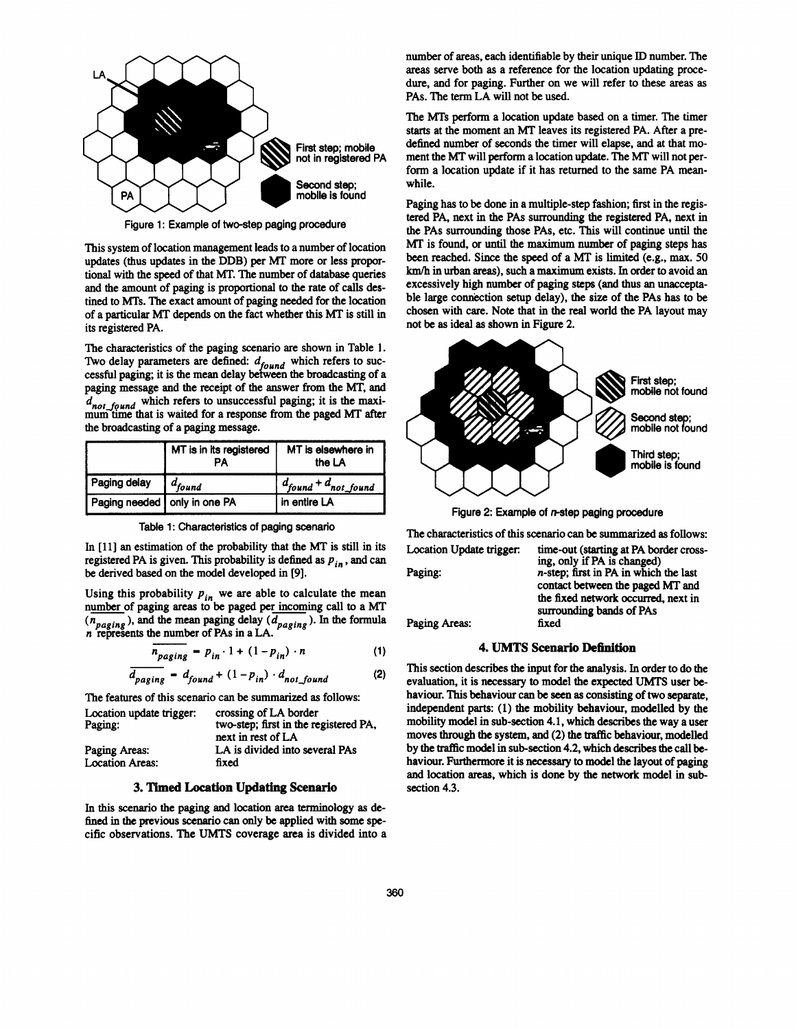

**Figure 1: Example of two-step paging procedure** 

This system of location management leads to a number of location updates (thus updates in the DDB) per MT more or less proportional with the speed of that MT. The number of database queries and the amount of paging is proportional to the rate of calls destined to **MTs.** The exact amount of paging needed for the location of a particular **MT** depends on the fact whether this **MT** is still in its registered PA.

The characteristics of the paging **scenario** are shown in Table **1.**  Two delay parameters are defined:  $d_{found}$  which refers to successful paging; it is the mean delay between the broadcasting of a paging message and the receipt of the answer from the MT, **and**   $d_{not\_found}$  which refers to unsuccessful paging; it is the maximum time that is waited for a response from the paged MT after the broadcasting of a paging message.

|                              | MT is in its registered<br>PА | MT is elsewhere in<br>the LA |
|------------------------------|-------------------------------|------------------------------|
| Paging delay                 | $\int d_{found}$              | $d_{found} + d_{not\_found}$ |
| Paging needed only in one PA |                               | in entire LA                 |

| Table 1: Characteristics of paging scenario |  |  |  |  |  |  |
|---------------------------------------------|--|--|--|--|--|--|
|---------------------------------------------|--|--|--|--|--|--|

In [11] an estimation of the probability that the MT is still in its registered PA is given. This probability is defined as  $p_{in}$ , and can be derived based on the model developed in **[9].** 

Using this probability  $p_{in}$  we are able to calculate the mean number of paging areas to be paged per incoming call to a **MT**   $(n_{\text{naging}})$ , and the mean paging delay  $(d_{\text{naging}})$ . In the formula *n* represents the number of PAs in a LA.  $r = 0$ <br> *n*<sub>paging</sub> =  $p_{in} \cdot 1 + (1 - p_{in}) \cdot n$ 

$$
n_{\text{paging}} = p_{in} \cdot 1 + (1 - p_{in}) \cdot n \tag{1}
$$

$$
\overline{d_{paging}} = d_{found} + (1 - p_{in}) \cdot d_{not\_found}
$$
 (2)

The features of this scenario can **be** summarized **as** follows:

| Location update trigger:<br>Paging: | crossing of LA border<br>two-step: first in the registered PA.<br>next in rest of LA |
|-------------------------------------|--------------------------------------------------------------------------------------|
| Paging Areas:                       | LA is divided into several PAs                                                       |
| <b>Location Areas:</b>              | fixed                                                                                |

## **3. Timed Location Updating Scenario**

In this *scenario* the paging and location **area** terminology **as** defined in the previous *scenario can* only be applied with some **spe**cific observations. The **UMTS** coverage area is divided into a number of areas, each identifiable by their unique ID number. The areas serve both **as** a reference for the location updating procedure, and for paging. Further on we will refer to these areas **as**  PAS. The term LA will not be used.

The **MTs** perform a location update based on a timer. The timer **starts** at the moment an MT leaves its registered PA. After a predefined number of seconds the timer will elapse, and at that moment the MT will perform a location update. The MT will not perform a location update if it **has** returned to the same PA meanwhile.

Paging has to be done in a multiple-step fashion; first in the registered PA, next in the PAS surrounding the registered PA, next in the PAS surrounding those PAS, etc. **This** will continue until the MT is found, or until the maximum number of paging steps **has**  been reached. Since the speed of a MT is **limited** (e.g., max. **50**  km/h in **urban areas),** such a maximum exists. In order to avoid an excessively high number of paging steps **(and** thus an unacceptable large connection setup delay), the *size* of the PAS has to **be**  chosen with care. Note that in the real world the PA layout may not be **as** ideal **as** shown in Figure **2.** 



**Figure 2: Example of mstep paging procedure** 

The characteristics of this **scenario** can be summarized **as** follows: Location Update trigger: time-out **(starting** at PA border cross- **ing,** only if PA is changed)

| LOCALIOII UPUAIC LIKKU. | unie-out (starting at FA border cross-   |
|-------------------------|------------------------------------------|
|                         | ing, only if PA is changed)              |
| Paging:                 | $n$ -step; first in PA in which the last |
|                         | contact between the paged MT and         |
|                         | the fixed network occurred, next in      |
|                         | surrounding bands of PAs                 |
| Paging Areas:           | fixed                                    |
|                         |                                          |
|                         |                                          |

## **4. UMTS Scenario Definition**

This section describes the input for the analysis. In order to do the evaluation, it is necessary to model the expected **UMTS** user behaviour. **This** behaviour can be **seen as** consisting of two separate, independent parts: **(1)** the mobility behaviour, modelled by the mobility model in sub-section **4.1,** which describes the way a user moves through the system, and (2) the traffic behaviour, modelled by the traffic model in sub-section 4.2, which describes the call behaviour. Furthermore it is necessary to model the layout of paging and location areas, which is done by the network model in subsection **4.3.**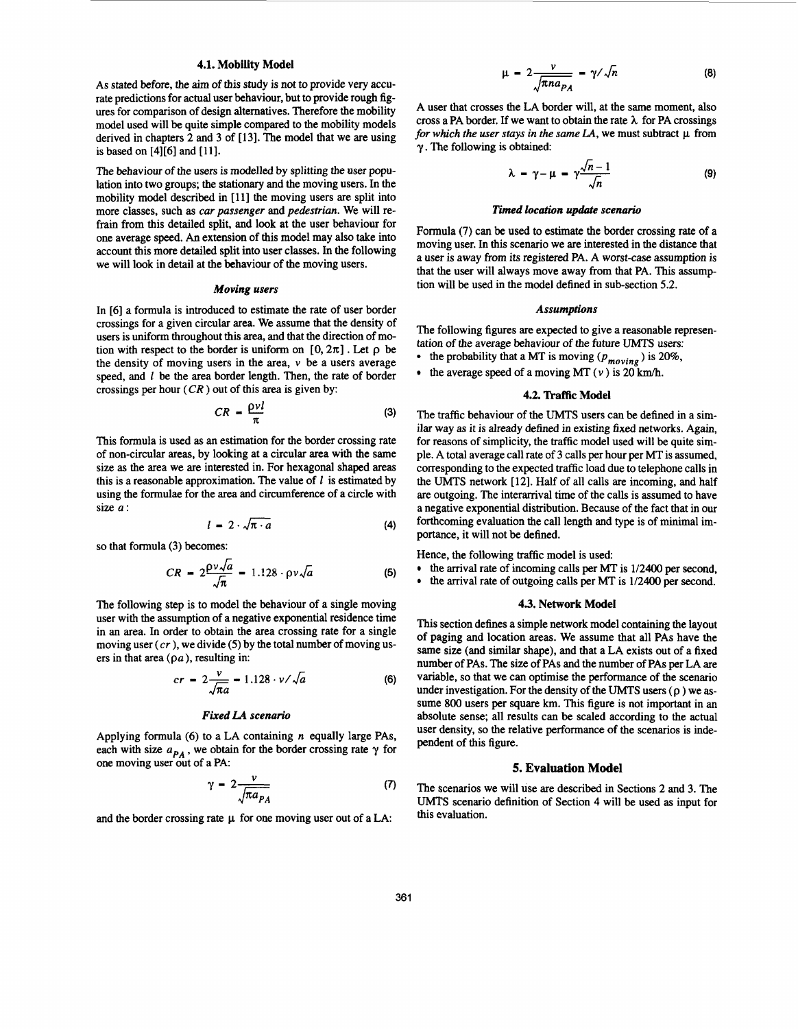## **4.1. Mobility Model**

As stated before, the aim of this study is not to provide very accurate predictions for actual user behaviour, but to provide rough figures for comparison of design alternatives. Therefore the mobility model used will be quite simple compared to the mobility models derived in chapters 2 and 3 of [13]. The model that we are using is based on [4][61 and **[lll.** 

The behaviour of the users is modelled by splitting the user population into two groups; the stationary and the moving **users.** In the mobility model described in [ll] the moving users are split into more classes, such **as** car *passenger* and *pedestrian.* We will refrain from this detailed split, and look at the user behaviour for one average speed. *An* extension of this model may also take into account this more detailed split into user classes. In the following we will look in detail at the behaviour of the moving users.

#### *Moving users*

In [6] a formula is introduced to estimate the rate of user border crossings for a given circular area. We assume that the density of users is uniform throughout this area, and that the direction of motion with respect to the border is uniform on  $[0, 2\pi]$ . Let  $\rho$  be the density of moving users in the area,  $\nu$  be a users average speed, and *1* be the area border length. Then, the rate of border crossings per hour  $(CR)$  out of this area is given by:

$$
CR = \frac{\rho v l}{\pi} \tag{3}
$$

This formula is used **as** an estimation for the border crossing rate of non-circular areas, by looking at a circular area with the same size **as** the area we are interested in. For hexagonal shaped areas this is a reasonable approximation. The value of *f* is estimated by using the formulae for the area and circumference of a circle with size *a:* 

$$
l = 2 \cdot \sqrt{\pi} \cdot a \tag{4}
$$

so that formula (3) becomes:

$$
CR = 2\frac{\rho v \sqrt{a}}{\sqrt{\pi}} = 1.128 \cdot \rho v \sqrt{a}
$$
 (5)

The following step is to model the behaviour of a single moving user with the assumption of a negative exponential residence time in an area. In order to obtain the area crossing rate for a single moving user *(cr* ), we divide *(5)* by the total number of moving users in that area **(pa),** resulting in:

$$
cr = 2\frac{v}{\sqrt{\pi a}} - 1.128 \cdot v / \sqrt{a}
$$
 (6)

#### *Fixed LA scenario*

Applying formula (6) to a LA containing *n* equally large PAS, each with size  $a_{PA}$ , we obtain for the border crossing rate  $\gamma$  for one moving user out of a PA

$$
\gamma = 2 \frac{v}{\sqrt{\pi a_{PA}}} \tag{7}
$$

and the border crossing rate  $\mu$  for one moving user out of a LA:

$$
\mu = 2 \frac{\nu}{\sqrt{\pi n a_{PA}}} = \gamma / \sqrt{n} \tag{8}
$$

A user that crosses the LA border will, at the same moment, also cross a PA border. If we want to obtain the rate *h* for PA crossings *for which the user stays in the same LA, we must subtract*  $\mu$  from  $\gamma$ . The following is obtained:

$$
\lambda = \gamma - \mu = \gamma \frac{\sqrt{n-1}}{\sqrt{n}} \tag{9}
$$

#### *Timed location update scenario*

Formula (7) can **be** used to estimate the border crossing rate of a moving user. In this scenario we are interested in the distance that a user is away from its registered PA. A worst-case assumption is that the user will always move away from that PA. This assumption will be used in the model defined in sub-section 5.2.

#### *Assumptions*

The following figures are expected to give a reasonable representation of the average behaviour of the future UMTS users:

- the probability that a MT is moving  $(p_{moving})$  is 20%.
- the average speed of a moving MT  $(v)$  is 20 km/h.

#### **4.2. Traffic Model**

The traffic behaviour of the **UMTS** users can be defined in a similar way **as** it is already defined in existing fixed networks. Again, for reasons of simplicity, the traffic model used will be quite simple. A total average call rate of 3 calls per hour per MT is assumed, corresponding to the expected traffic load due to telephone calls in the UMTS network [12]. Half of all calls are incoming, and half are outgoing. The interarrival time of the calls is assumed to have a negative exponential distribution. Because of the fact that in our forthcoming evaluation the call length and type is of minimal importance, it will not be defined.

Hence, the following traffic model is used:

- $\bullet$  the arrival rate of incoming calls per MT is 1/2400 per second,
- the arrival rate of outgoing calls per MT is 1/2400 per second.

#### **43. Network Model**

This section defines a simple network model containing the layout of paging and location areas. We assume that all PAS have the same size (and similar shape), and that a LA exists out of a fixed number of PAS. The size of PAS and the number of PAS per LA are variable, so that we can optimise the performance of the scenario under investigation. For the density of the **UMTS** users **(p** ) we **as-** sume 800 users per square **km.** This figure is not important in an absolute sense; all results can be scaled according to the actual user density, so the relative performance of the scenarios is independent of this figure.

## **5. Evaluation Model**

The scenarios we will use are described in Sections 2 and 3. The **UMTS** scenario definition of Section **4** will be used **as** input for this evaluation.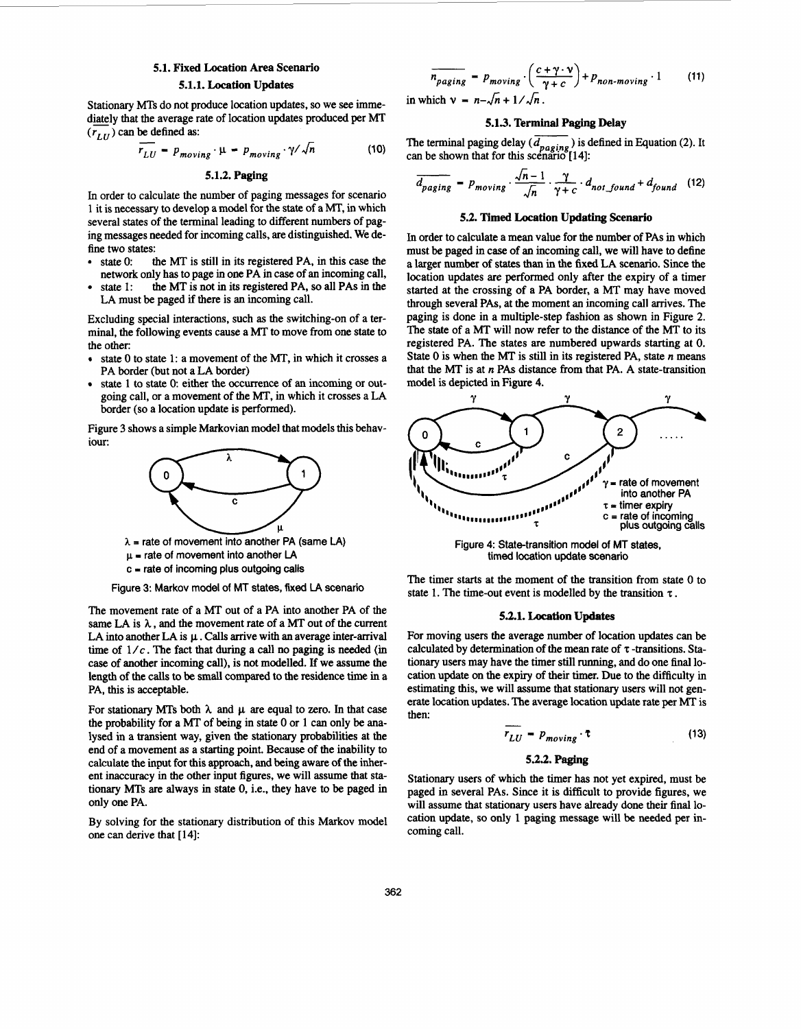# **5.1. Fixed Location Area Scenario**

## **5.1.1. Location Updates**

Stationary **MTs** do not produce location updates, so we see immediately that the average rate of location updates produced per MT  $(r_{LU})$  can be defined as: MTs do :<br>the ave:<br> $\frac{1}{r_{III}} =$ 

$$
\overline{r_{LU}} = p_{moving} \cdot \mu = p_{moving} \cdot \gamma / \sqrt{n}
$$
 (10)

**5.1.2. Paging** 

In order to calculate the number of paging messages for scenario 1 it is necessary to develop a model for the state of a MT, in which several states of the terminal leading to different numbers of paging messages needed for incoming calls, are distinguished. We define two states:<br>• state 0:

- the MT is still in its registered PA, in this case the network only has to page in one PA in case of an incoming call, state 1: the MT is not in its registered PA, so all PAs in the
- state 1: the MT is not in its registered **PA,** so all **PAS** in the **LA** must be paged if there is an incoming call.

Excluding special interactions, such **as** the switching-on of a terminal, the following events cause a **MT** to move from one state to the other:

- state 0 to state 1: a movement of the MT, in which it crosses a **PA** border (but not a **LA** border)
- state 1 to state 0: either the occurrence of an incoming or outgoing call, or a movement of the MT, in which it crosses a **LA**  border (so a location update is performed).

Figure 3 shows a simple Markovian model that models this behaviour:



 $\lambda$  = rate of movement into another PA (same LA)  $\mu$  = rate of movement into another LA

**c I rate of incoming plus outgoing calls** 

**Figure 3: Markov model** of **MT states, fixed** LA **scenario** 

The movement rate of a MT out of a **PA** into another **PA** of the same LA is  $\lambda$ , and the movement rate of a MT out of the current **LA** into another **LA** is **p..** Calls arrive with an average inter-arrival time of  $1/c$ . The fact that during a call no paging is needed (in case of another incoming call), is not modelled. **If** we assume the length of the calls to be small compared to the residence time in a **PA,** this is acceptable.

For stationary MTs both  $\lambda$  and  $\mu$  are equal to zero. In that case the probability for a MT of being in state 0 or 1 can only be analysed in a transient way, given the stationary probabilities at the end of a movement **as** a starting point. Because of the inability to calculate the input for this approach, and being aware of the inherent inaccuracy in the other input figures, we will assume that stationary **MTs** are always in state 0, i.e., they have to be paged in only one **PA.** 

By solving for the stationary distribution of this Markov model one can derive that [14]:

$$
\overline{n_{paging}} = p_{moving} \cdot \left(\frac{c + \gamma \cdot \nu}{\gamma + c}\right) + p_{non-moving} \cdot 1
$$
 (11)

in which  $v = n - \sqrt{n+1}/\sqrt{n}$ .

## **5.13. Terminal Paging Delay**

The terminal paging delay  $\overline{d_{negative}}$  ) is defined in Equation (2). It

can be shown that for this scénario [14]:  
\n
$$
\frac{1}{d_{paging}} = p_{moving} \cdot \frac{\sqrt{n-1}}{\sqrt{n}} \cdot \frac{\gamma}{\gamma + c} \cdot d_{not\_found} + d_{found}
$$
\n(12)

#### **5.2. Timed Location Updating Scenario**

In order to calculate a mean value for the number of **PAS** in which must be paged in case of an incoming call, we will have to define a larger number of states than in the fixed **LA** scenario. Since the location updates are performed only after the expiry of a timer started at the crossing of a **PA** border, a **MT** may have moved through several **PAS,** at the moment an incoming call arrives. The paging is done in a multiple-step fashion as shown in Figure 2. The state of a MT will now refer to the distance of the MT to its registered **PA.** The states are numbered upwards starting at 0. State 0 is when the MT is still in its registered **PA,** state *n* means that the MT is at *n* **PAS** distance from that **PA. A** state-transition model is depicted in Figure **4.** 



**Figure 4: State-transition model of MT states, timed location update scenario** 

The timer starts at the moment of the transition from state 0 to state 1. The time-out event is modelled by the transition  $\tau$ .

#### **53.1. Location Updates**

For moving users the average number of location updates can be calculated by determination of the mean rate of  $\tau$ -transitions. Stationary users may have the timer still running, and do one final location update on the expiry of their timer. Due to the difficulty in estimating this, we will assume that stationary users will not generate location updates. The average location update rate per MT is then:<br>  $\overline{r_{LU}} = p_{moving} \cdot \overline{t}$  (13) then:

$$
\overline{r_{LU}} = p_{moving} \cdot \tau \tag{13}
$$

#### **5.2.2. Paging**

Stationary users of which the timer has not yet expired, must be paged in several **PAS.** Since it is difficult to provide figures, we will assume that stationary users have already done their final location update, so only 1 paging message will be needed per incoming call.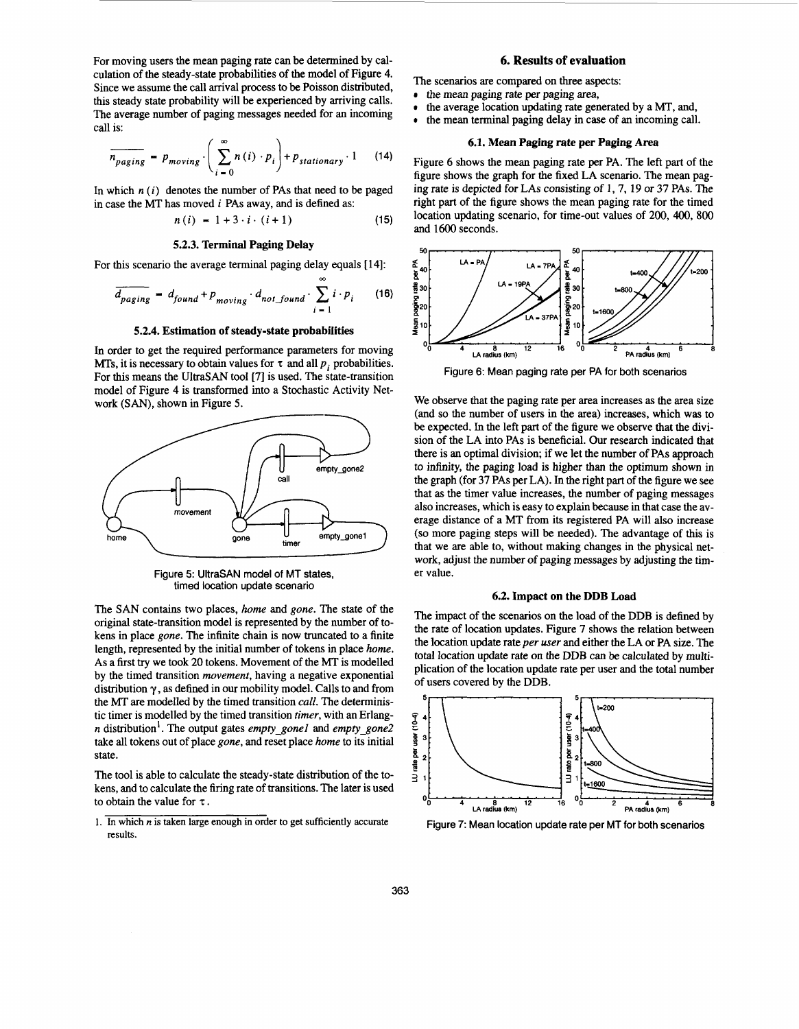For moving users the mean paging rate can be determined by calculation of the steady-state probabilities of the model of Figure 4. Since we assume the call arrival process to be Poisson distributed, this steady state probability will be experienced by arriving calls. The average number of paging messages needed for an incoming call is:

11S:  
\n
$$
\overline{n_{paging}} = p_{moving} \cdot \left( \sum_{i=0}^{\infty} n(i) \cdot p_i \right) + p_{stationary} \cdot 1 \qquad (14)
$$

In which  $n(i)$  denotes the number of PAs that need to be paged in case the MT has moved  $i$  PAs away, and is defined as:

$$
n(i) = 1 + 3 \cdot i \cdot (i + 1) \tag{15}
$$

## **5.2.3. Terminal Paging Delay**

For this scenario the average terminal paging delay equals [14]:

$$
\overline{d_{paging}} = d_{found} + p_{moving} \cdot d_{not\_found} \cdot \sum_{i=1}^{\infty} i \cdot p_i
$$
 (16)

## **5.2.4. Estimation of steady-state probabilities**

In order to get the required performance parameters for moving MTs, it is necessary to obtain values for  $\tau$  and all  $p_i$  probabilities. For this means the UltraSAN tool [7] is used. The state-transition model of Figure 4 is transformed into a Stochastic Activity Network *(SAN),* shown in Figure 5.



Figure 5: UltraSAN model of MT states, timed location update scenario

The SAN contains two places, home and gone. The state of the original state-transition model is represented by the number of tokens in place gone. The infinite chain is now truncated to a finite length, represented by the initial number of tokens in place *home.*  As a first **try** we took **20** tokens. Movement of the MT is modelled by the timed transition movement, having a negative exponential distribution y , **as** defined in our mobility model. Calls to and from the MT are modelled by the timed transition call. The deterministic timer is modelled by the timed transition timer, with an Erlangn distribution'. The output gates *emply-gone1* and *empfy-gone2*  take all tokens out of place gone, and reset place home to its initial state.

The tool is able to calculate the steady-state distribution of the tokens, and to calculate the firing rate of transitions. The later is used to obtain the value for  $\tau$ .

1. In which  $n$  is taken large enough in order to get sufficiently accurate results.

## **6. Results of evaluation**

The scenarios are compared on three aspects:

- the mean paging rate **per** paging area,
- the average location updating rate generated by a MT, and,
- the mean terminal paging delay in case of an incoming call.

## **6.1. Mean Paging rate per Paging Area**

Figure 6 shows the mean paging rate per PA. The left part of the figure shows the graph for the fixed LA scenario. The mean paging rate is depicted for LAs consisting of 1, 7, 19 or 37 PAS. The right part of the figure shows the mean paging rate for the timed location updating scenario, for time-out values of 200, 400, 800 and 1600 seconds.



Figure 6: Mean paging rate per PA for both scenarios

We observe that the paging rate per area increases **as** the area size (and so the number of users in the area) increases, which was to be expected. In the left part of the figure we observe that the division of the LA into PAS is beneficial. Our research indicated that there is an optimal division; if we let the number of PAS approach to infinity, the paging load is higher than the optimum shown in the graph (for 37 PAS per LA). In the right part of the figure we see that **as** the timer value increases, the number of paging messages also increases, which is easy to explain because in that case the average distance of a MT from its registered PA will also increase (so more paging steps will be needed). The advantage of this is that we are able to, without making changes in the physical network, adjust the number of paging messages by adjusting the timer value.

#### **6.2. Impact on the DDB Load**

The impact of the scenarios on the load of the DDB is defined by the rate of location updates. Figure 7 shows the relation between the location update rate per user and either the LA or PA size. The total location update rate on the DDB can be calculated by multiplication of the location update rate per user and the total number of users covered by the DDB.



Figure 7: Mean location update rate per MT for both scenarios